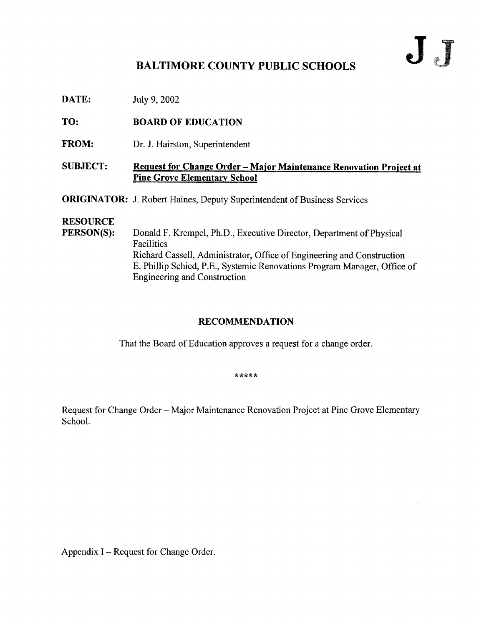# JJ

# BALTIMORE COUNTY PUBLIC SCHOOLS

**DATE:** July 9, 2002

TO: BOARD OF EDUCATION

FROM: Dr. J. Hairston, Superintendent

### SUBJECT: Request for Change Order - Major Maintenance Renovation Project at Pine Grove Elementary School

**ORIGINATOR:** J. Robert Haines, Deputy Superintendent of Business Services

# **RESOURCE**<br>PERSON(S):

Donald F. Krempel, Ph.D., Executive Director, Department of Physical Facilities Richard Cassell, Administrator, Office of Engineering and Construction E. Phillip Schied, P.E., Systemic Renovations Program Manager, Office of Engineering and Construction

## RECOMMENDATION

That the Board of Education approves a request for a change order.

\*\*\*\*\*

Request for Change Order - Major Maintenance Renovation Project at Pine Grove Elementary School.

Appendix I – Request for Change Order.